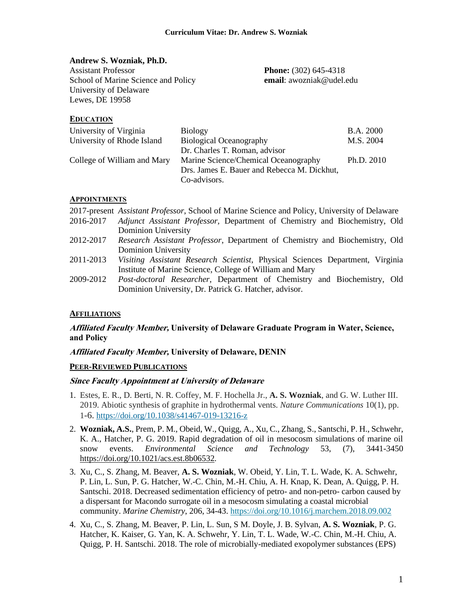#### **Andrew S. Wozniak, Ph.D.**

Assistant Professor **Phone:** (302) 645-4318 School of Marine Science and Policy **email**: awozniak@udel.edu University of Delaware Lewes, DE 19958

#### **EDUCATION**

| University of Virginia      | <b>Biology</b>                              | <b>B.A. 2000</b> |
|-----------------------------|---------------------------------------------|------------------|
| University of Rhode Island  | <b>Biological Oceanography</b>              | M.S. 2004        |
|                             | Dr. Charles T. Roman, advisor               |                  |
| College of William and Mary | Marine Science/Chemical Oceanography        | Ph.D. 2010       |
|                             | Drs. James E. Bauer and Rebecca M. Dickhut, |                  |
|                             | Co-advisors.                                |                  |

### **APPOINTMENTS**

|           | 2017-present Assistant Professor, School of Marine Science and Policy, University of Delaware |
|-----------|-----------------------------------------------------------------------------------------------|
| 2016-2017 | Adjunct Assistant Professor, Department of Chemistry and Biochemistry, Old                    |
|           | <b>Dominion University</b>                                                                    |
| 2012-2017 | Research Assistant Professor, Department of Chemistry and Biochemistry, Old                   |
|           | <b>Dominion University</b>                                                                    |
| 2011-2013 | Visiting Assistant Research Scientist, Physical Sciences Department, Virginia                 |
|           | Institute of Marine Science, College of William and Mary                                      |
| 2009-2012 | Post-doctoral Researcher, Department of Chemistry and Biochemistry, Old                       |
|           | Dominion University, Dr. Patrick G. Hatcher, advisor.                                         |

### **AFFILIATIONS**

### **Affiliated Faculty Member, University of Delaware Graduate Program in Water, Science, and Policy**

#### **Affiliated Faculty Member, University of Delaware, DENIN**

#### **PEER-REVIEWED PUBLICATIONS**

#### **Since Faculty Appointment at University of Delaware**

- 1. Estes, E. R., D. Berti, N. R. Coffey, M. F. Hochella Jr., **A. S. Wozniak**, and G. W. Luther III. 2019. Abiotic synthesis of graphite in hydrothermal vents. *Nature Communications* 10(1), pp. 1-6. <https://doi.org/10.1038/s41467-019-13216-z>
- 2. **Wozniak, A.S.**, Prem, P. M., Obeid, W., Quigg, A., Xu, C., Zhang, S., Santschi, P. H., Schwehr, K. A., Hatcher, P. G. 2019. Rapid degradation of oil in mesocosm simulations of marine oil snow events. *Environmental Science and Technology* 53, (7), 3441-3450 <https://doi.org/10.1021/acs.est.8b06532>*.*
- 3. Xu, C., S. Zhang, M. Beaver, **A. S. Wozniak**, W. Obeid, Y. Lin, T. L. Wade, K. A. Schwehr, P. Lin, L. Sun, P. G. Hatcher, W.-C. Chin, M.-H. Chiu, A. H. Knap, K. Dean, A. Quigg, P. H. Santschi. 2018. Decreased sedimentation efficiency of petro- and non-petro- carbon caused by a dispersant for Macondo surrogate oil in a mesocosm simulating a coastal microbial community. *Marine Chemistry*, 206, 34-43.<https://doi.org/10.1016/j.marchem.2018.09.002>
- 4. Xu, C., S. Zhang, M. Beaver, P. Lin, L. Sun, S M. Doyle, J. B. Sylvan, **A. S. Wozniak**, P. G. Hatcher, K. Kaiser, G. Yan, K. A. Schwehr, Y. Lin, T. L. Wade, W.-C. Chin, M.-H. Chiu, A. Quigg, P. H. Santschi. 2018. The role of microbially-mediated exopolymer substances (EPS)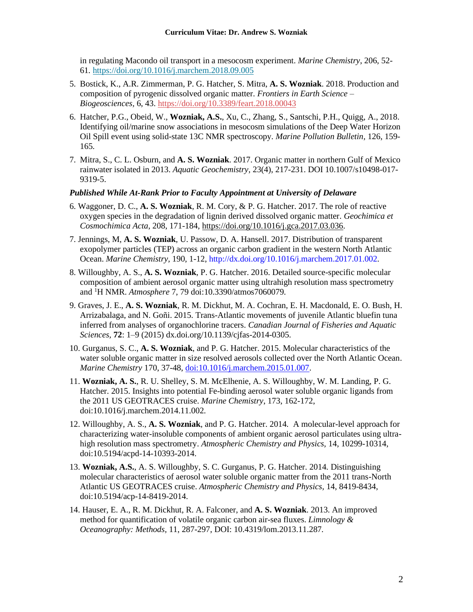in regulating Macondo oil transport in a mesocosm experiment. *Marine Chemistry*, 206, 52- 61*.* <https://doi.org/10.1016/j.marchem.2018.09.005>

- 5. Bostick, K., A.R. Zimmerman, P. G. Hatcher, S. Mitra, **A. S. Wozniak**. 2018. Production and composition of pyrogenic dissolved organic matter. *Frontiers in Earth Science – Biogeosciences,* 6, 43. <https://doi.org/10.3389/feart.2018.00043>
- 6. Hatcher, P.G., Obeid, W., **Wozniak, A.S.**, Xu, C., Zhang, S., Santschi, P.H., Quigg, A., 2018. Identifying oil/marine snow associations in mesocosm simulations of the Deep Water Horizon Oil Spill event using solid-state 13C NMR spectroscopy. *Marine Pollution Bulletin,* 126, 159- 165*.*
- 7. Mitra, S., C. L. Osburn, and **A. S. Wozniak**. 2017. Organic matter in northern Gulf of Mexico rainwater isolated in 2013. *Aquatic Geochemistry,* 23(4), 217-231. DOI 10.1007/s10498-017- 9319-5.

#### *Published While At-Rank Prior to Faculty Appointment at University of Delaware*

- 6. Waggoner, D. C., **A. S. Wozniak**, R. M. Cory, & P. G. Hatcher. 2017. The role of reactive oxygen species in the degradation of lignin derived dissolved organic matter. *Geochimica et Cosmochimica Acta*, 208, 171-184, [https://doi.org/10.1016/j.gca.2017.03.036.](https://doi.org/10.1016/j.gca.2017.03.036)
- 7. Jennings, M, **A. S. Wozniak**, U. Passow, D. A. Hansell. 2017. Distribution of transparent exopolymer particles (TEP) across an organic carbon gradient in the western North Atlantic Ocean. *Marine Chemistry,* 190, 1-12, http://dx.doi.org/10.1016/j.marchem.2017.01.002*.*
- 8. Willoughby, A. S., **A. S. Wozniak**, P. G. Hatcher. 2016. Detailed source-specific molecular composition of ambient aerosol organic matter using ultrahigh resolution mass spectrometry and <sup>1</sup>H NMR. *Atmosphere* 7, 79 doi:10.3390/atmos7060079*.*
- 9. Graves, J. E., **A. S. Wozniak**, R. M. Dickhut, M. A. Cochran, E. H. Macdonald, E. O. Bush, H. Arrizabalaga, and N. Goñi. 2015. Trans-Atlantic movements of juvenile Atlantic bluefin tuna inferred from analyses of organochlorine tracers. *Canadian Journal of Fisheries and Aquatic Sciences,* **72**: 1–9 (2015) dx.doi.org/10.1139/cjfas-2014-0305.
- 10. Gurganus, S. C., **A. S. Wozniak**, and P. G. Hatcher. 2015. Molecular characteristics of the water soluble organic matter in size resolved aerosols collected over the North Atlantic Ocean. *Marine Chemistry* 170, 37-48, [doi:10.1016/j.marchem.2015.01.007.](http://dx.doi.org/10.1016/j.marchem.2015.01.007)
- 11. **Wozniak, A. S.**, R. U. Shelley, S. M. McElhenie, A. S. Willoughby, W. M. Landing, P. G. Hatcher. 2015. Insights into potential Fe-binding aerosol water soluble organic ligands from the 2011 US GEOTRACES cruise. *Marine Chemistry*, 173, 162-172, doi:10.1016/j.marchem.2014.11.002*.*
- 12. Willoughby, A. S., **A. S. Wozniak**, and P. G. Hatcher. 2014*.* A molecular-level approach for characterizing water-insoluble components of ambient organic aerosol particulates using ultrahigh resolution mass spectrometry. *Atmospheric Chemistry and Physics,* 14, 10299-10314, doi:10.5194/acpd-14-10393-2014.
- 13. **Wozniak, A.S.**, A. S. Willoughby, S. C. Gurganus, P. G. Hatcher. 2014*.* Distinguishing molecular characteristics of aerosol water soluble organic matter from the 2011 trans-North Atlantic US GEOTRACES cruise. *Atmospheric Chemistry and Physics,* 14, 8419-8434, doi:10.5194/acp-14-8419-2014.
- 14. Hauser, E. A., R. M. Dickhut, R. A. Falconer, and **A. S. Wozniak**. 2013. An improved method for quantification of volatile organic carbon air-sea fluxes. *Limnology & Oceanography: Methods,* 11, 287-297, DOI: 10.4319/lom.2013.11.287*.*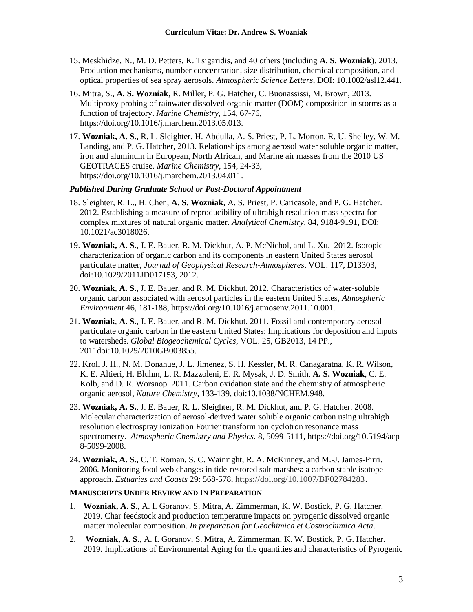- 15. Meskhidze, N., M. D. Petters, K. Tsigaridis, and 40 others (including **A. S. Wozniak**). 2013. Production mechanisms, number concentration, size distribution, chemical composition, and optical properties of sea spray aerosols. *Atmospheric Science Letters*, DOI: 10.1002/asl12.441.
- 16. Mitra, S., **A. S. Wozniak**, R. Miller, P. G. Hatcher, C. Buonassissi, M. Brown, 2013. Multiproxy probing of rainwater dissolved organic matter (DOM) composition in storms as a function of trajectory. *Marine Chemistry*, 154, 67-76, [https://doi.org/10.1016/j.marchem.2013.05.013.](https://doi.org/10.1016/j.marchem.2013.05.013)
- 17. **Wozniak, A. S.**, R. L. Sleighter, H. Abdulla, A. S. Priest, P. L. Morton, R. U. Shelley, W. M. Landing, and P. G. Hatcher, 2013. Relationships among aerosol water soluble organic matter, iron and aluminum in European, North African, and Marine air masses from the 2010 US GEOTRACES cruise. *Marine Chemistry*, 154, 24-33, [https://doi.org/10.1016/j.marchem.2013.04.011.](https://doi.org/10.1016/j.marchem.2013.04.011)

### *Published During Graduate School or Post-Doctoral Appointment*

- 18. Sleighter, R. L., H. Chen, **A. S. Wozniak**, A. S. Priest, P. Caricasole, and P. G. Hatcher. 2012. Establishing a measure of reproducibility of ultrahigh resolution mass spectra for complex mixtures of natural organic matter. *Analytical Chemistry*, 84, 9184-9191, DOI: 10.1021/ac3018026.
- 19. **Wozniak, A. S.**, J. E. Bauer, R. M. Dickhut, A. P. McNichol, and L. Xu. 2012. Isotopic characterization of organic carbon and its components in eastern United States aerosol particulate matter, *Journal of Geophysical Research-Atmospheres,* VOL. 117, D13303, doi:10.1029/2011JD017153, 2012.
- 20. **Wozniak**, **A. S.**, J. E. Bauer, and R. M. Dickhut. 2012. Characteristics of water-soluble organic carbon associated with aerosol particles in the eastern United States, *Atmospheric Environment* 46, 181-188[, https://doi.org/10.1016/j.atmosenv.2011.10.001.](https://doi.org/10.1016/j.atmosenv.2011.10.001)
- 21. **Wozniak**, **A. S.**, J. E. Bauer, and R. M. Dickhut. 2011. Fossil and contemporary aerosol particulate organic carbon in the eastern United States: Implications for deposition and inputs to watersheds. *Global Biogeochemical Cycles*, VOL. 25, GB2013, 14 PP., 2011doi:10.1029/2010GB003855.
- 22. Kroll J. H., N. M. Donahue, J. L. Jimenez, S. H. Kessler, M. R. Canagaratna, K. R. Wilson, K. E. Altieri, H. Bluhm, L. R. Mazzoleni, E. R. Mysak, J. D. Smith, **A. S. Wozniak**, C. E. Kolb, and D. R. Worsnop. 2011*.* Carbon oxidation state and the chemistry of atmospheric organic aerosol, *Nature Chemistry*, 133-139, doi:10.1038/NCHEM.948.
- 23. **Wozniak, A. S.**, J. E. Bauer, R. L. Sleighter, R. M. Dickhut, and P. G. Hatcher. 2008. Molecular characterization of aerosol-derived water soluble organic carbon using ultrahigh resolution electrospray ionization Fourier transform ion cyclotron resonance mass spectrometry. *Atmospheric Chemistry and Physics.* 8, 5099-5111, https://doi.org/10.5194/acp-8-5099-2008.
- 24. **Wozniak, A. S.**, C. T. Roman, S. C. Wainright, R. A. McKinney, and M.-J. James-Pirri. 2006. Monitoring food web changes in tide-restored salt marshes: a carbon stable isotope approach. *Estuaries and Coasts* 29: 568-578, https://doi.org/10.1007/BF02784283.

#### **MANUSCRIPTS UNDER REVIEW AND IN PREPARATION**

- 1. **Wozniak, A. S.**, A. I. Goranov, S. Mitra, A. Zimmerman, K. W. Bostick, P. G. Hatcher. 2019. Char feedstock and production temperature impacts on pyrogenic dissolved organic matter molecular composition. *In preparation for Geochimica et Cosmochimica Acta*.
- 2. **Wozniak, A. S.**, A. I. Goranov, S. Mitra, A. Zimmerman, K. W. Bostick, P. G. Hatcher. 2019. Implications of Environmental Aging for the quantities and characteristics of Pyrogenic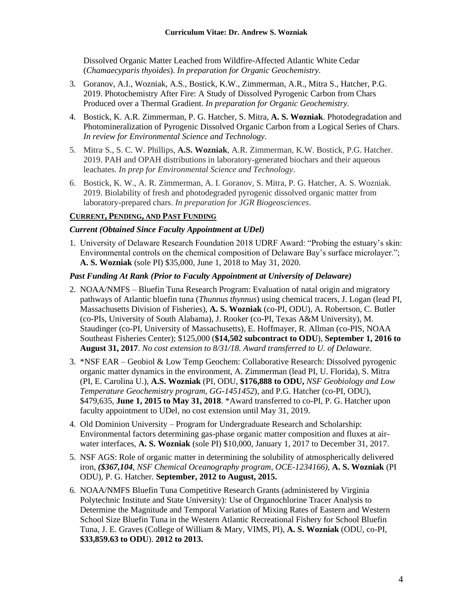Dissolved Organic Matter Leached from Wildfire-Affected Atlantic White Cedar (*Chamaecyparis thyoides*). *In preparation for Organic Geochemistry.*

- 3. Goranov, A.I., Wozniak, A.S., Bostick, K.W., Zimmerman, A.R., Mitra S., Hatcher, P.G. 2019. Photochemistry After Fire: A Study of Dissolved Pyrogenic Carbon from Chars Produced over a Thermal Gradient. *In preparation for Organic Geochemistry.*
- 4. Bostick, K. A.R. Zimmerman, P. G. Hatcher, S. Mitra, **A. S. Wozniak**. Photodegradation and Photomineralization of Pyrogenic Dissolved Organic Carbon from a Logical Series of Chars. *In review for Environmental Science and Technology*.
- 5. Mitra, S., S. C. W. Phillips, **A.S. Wozniak**, A.R. Zimmerman, K.W. Bostick, P.G. Hatcher. 2019. PAH and OPAH distributions in laboratory-generated biochars and their aqueous leachates. *In prep for Environmental Science and Technology*.
- 6. Bostick, K. W., A. R. Zimmerman, A. I. Goranov, S. Mitra, P. G. Hatcher, A. S. Wozniak. 2019. Biolability of fresh and photodegraded pyrogenic dissolved organic matter from laboratory-prepared chars. *In preparation for JGR Biogeosciences*.

### **CURRENT, PENDING, AND PAST FUNDING**

### *Current (Obtained Since Faculty Appointment at UDel)*

1. University of Delaware Research Foundation 2018 UDRF Award: "Probing the estuary's skin: Environmental controls on the chemical composition of Delaware Bay's surface microlayer."; **A. S. Wozniak** (sole PI) \$35,000, June 1, 2018 to May 31, 2020.

### *Past Funding At Rank (Prior to Faculty Appointment at University of Delaware)*

- 2. NOAA/NMFS Bluefin Tuna Research Program: Evaluation of natal origin and migratory pathways of Atlantic bluefin tuna (*Thunnus thynnus*) using chemical tracers, J. Logan (lead PI, Massachusetts Division of Fisheries), **A. S. Wozniak** (co-PI, ODU), A. Robertson, C. Butler (co-PIs, University of South Alabama), J. Rooker (co-PI, Texas A&M University), M. Staudinger (co-PI, University of Massachusetts), E. Hoffmayer, R. Allman (co-PIS, NOAA Southeast Fisheries Center); \$125,000 (**\$14,502 subcontract to ODU**), **September 1, 2016 to August 31, 2017**. *No cost extension to 8/31/18. Award transferred to U. of Delaware.*
- 3. \*NSF EAR Geobiol & Low Temp Geochem: Collaborative Research: Dissolved pyrogenic organic matter dynamics in the environment, A. Zimmerman (lead PI, U. Florida), S. Mitra (PI, E. Carolina U.), **A.S. Wozniak** (PI, ODU, **\$176,888 to ODU,** *NSF Geobiology and Low Temperature Geochemistry program, GG-1451452*), and P.G. Hatcher (co-PI, ODU), \$479,635, **June 1, 2015 to May 31, 2018**. \*Award transferred to co-PI, P. G. Hatcher upon faculty appointment to UDel, no cost extension until May 31, 2019.
- 4. Old Dominion University Program for Undergraduate Research and Scholarship: Environmental factors determining gas-phase organic matter composition and fluxes at airwater interfaces, **A. S. Wozniak** (sole PI) \$10,000, January 1, 2017 to December 31, 2017.
- 5. NSF AGS: Role of organic matter in determining the solubility of atmospherically delivered iron, *(\$367,104, NSF Chemical Oceanography program, OCE-1234166)*, **A. S. Wozniak** (PI ODU), P. G. Hatcher. **September, 2012 to August, 2015.**
- 6. NOAA/NMFS Bluefin Tuna Competitive Research Grants (administered by Virginia Polytechnic Institute and State University): Use of Organochlorine Tracer Analysis to Determine the Magnitude and Temporal Variation of Mixing Rates of Eastern and Western School Size Bluefin Tuna in the Western Atlantic Recreational Fishery for School Bluefin Tuna, J. E. Graves (College of William & Mary, VIMS, PI), **A. S. Wozniak** (ODU, co-PI, **\$33,859.63 to ODU**). **2012 to 2013.**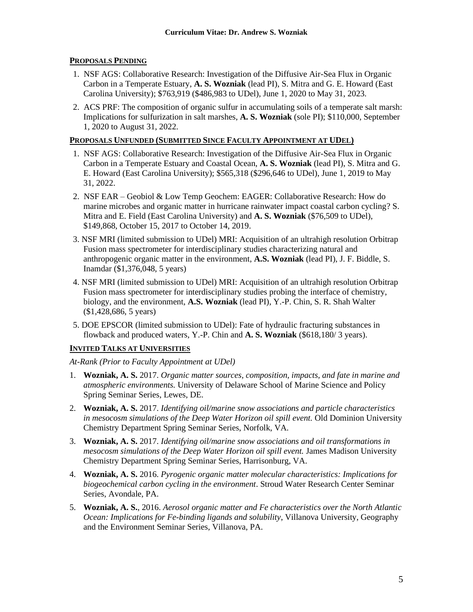### **PROPOSALS PENDING**

- 1. NSF AGS: Collaborative Research: Investigation of the Diffusive Air-Sea Flux in Organic Carbon in a Temperate Estuary, **A. S. Wozniak** (lead PI), S. Mitra and G. E. Howard (East Carolina University); \$763,919 (\$486,983 to UDel), June 1, 2020 to May 31, 2023.
- 2. ACS PRF: The composition of organic sulfur in accumulating soils of a temperate salt marsh: Implications for sulfurization in salt marshes, **A. S. Wozniak** (sole PI); \$110,000, September 1, 2020 to August 31, 2022.

### **PROPOSALS UNFUNDED (SUBMITTED SINCE FACULTY APPOINTMENT AT UDEL)**

- 1. NSF AGS: Collaborative Research: Investigation of the Diffusive Air-Sea Flux in Organic Carbon in a Temperate Estuary and Coastal Ocean, **A. S. Wozniak** (lead PI), S. Mitra and G. E. Howard (East Carolina University); \$565,318 (\$296,646 to UDel), June 1, 2019 to May 31, 2022.
- 2. NSF EAR Geobiol & Low Temp Geochem: EAGER: Collaborative Research: How do marine microbes and organic matter in hurricane rainwater impact coastal carbon cycling? S. Mitra and E. Field (East Carolina University) and **A. S. Wozniak** (\$76,509 to UDel), \$149,868, October 15, 2017 to October 14, 2019.
- 3. NSF MRI (limited submission to UDel) MRI: Acquisition of an ultrahigh resolution Orbitrap Fusion mass spectrometer for interdisciplinary studies characterizing natural and anthropogenic organic matter in the environment, **A.S. Wozniak** (lead PI), J. F. Biddle, S. Inamdar (\$1,376,048, 5 years)
- 4. NSF MRI (limited submission to UDel) MRI: Acquisition of an ultrahigh resolution Orbitrap Fusion mass spectrometer for interdisciplinary studies probing the interface of chemistry, biology, and the environment, **A.S. Wozniak** (lead PI), Y.-P. Chin, S. R. Shah Walter (\$1,428,686, 5 years)
- 5. DOE EPSCOR (limited submission to UDel): Fate of hydraulic fracturing substances in flowback and produced waters, Y.-P. Chin and **A. S. Wozniak** (\$618,180/ 3 years).

## **INVITED TALKS AT UNIVERSITIES**

*At-Rank (Prior to Faculty Appointment at UDel)*

- 1. **Wozniak, A. S.** 2017. *Organic matter sources, composition, impacts, and fate in marine and atmospheric environments.* University of Delaware School of Marine Science and Policy Spring Seminar Series, Lewes, DE.
- 2. **Wozniak, A. S.** 2017. *Identifying oil/marine snow associations and particle characteristics in mesocosm simulations of the Deep Water Horizon oil spill event.* Old Dominion University Chemistry Department Spring Seminar Series, Norfolk, VA.
- 3. **Wozniak, A. S.** 2017. *Identifying oil/marine snow associations and oil transformations in mesocosm simulations of the Deep Water Horizon oil spill event.* James Madison University Chemistry Department Spring Seminar Series, Harrisonburg, VA.
- 4. **Wozniak, A. S.** 2016. *Pyrogenic organic matter molecular characteristics: Implications for biogeochemical carbon cycling in the environment*. Stroud Water Research Center Seminar Series, Avondale, PA.
- 5. **Wozniak, A. S.**, 2016. *Aerosol organic matter and Fe characteristics over the North Atlantic Ocean: Implications for Fe-binding ligands and solubility*, Villanova University, Geography and the Environment Seminar Series, Villanova, PA.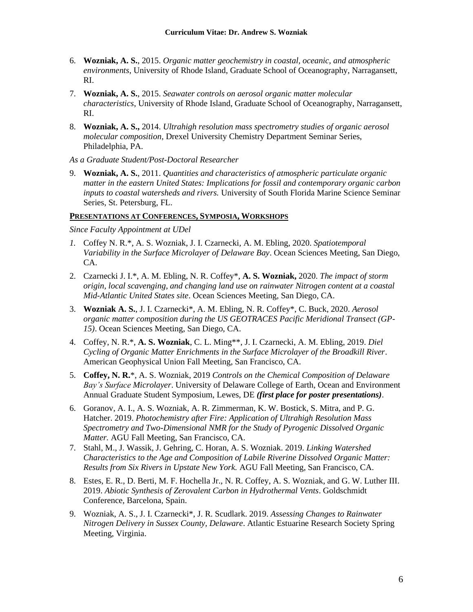- 6. **Wozniak, A. S.**, 2015. *Organic matter geochemistry in coastal, oceanic, and atmospheric environments*, University of Rhode Island, Graduate School of Oceanography, Narragansett, RI.
- 7. **Wozniak, A. S.**, 2015. *Seawater controls on aerosol organic matter molecular characteristics*, University of Rhode Island, Graduate School of Oceanography, Narragansett, RI.
- 8. **Wozniak, A. S.,** 2014. *Ultrahigh resolution mass spectrometry studies of organic aerosol molecular composition,* Drexel University Chemistry Department Seminar Series, Philadelphia, PA.

*As a Graduate Student/Post-Doctoral Researcher*

9. **Wozniak, A. S.**, 2011. *Quantities and characteristics of atmospheric particulate organic matter in the eastern United States: Implications for fossil and contemporary organic carbon inputs to coastal watersheds and rivers.* University of South Florida Marine Science Seminar Series, St. Petersburg, FL.

#### **PRESENTATIONS AT CONFERENCES, SYMPOSIA, WORKSHOPS**

*Since Faculty Appointment at UDel*

- *1.* Coffey N. R.\*, A. S. Wozniak, J. I. Czarnecki, A. M. Ebling, 2020. *Spatiotemporal Variability in the Surface Microlayer of Delaware Bay*. Ocean Sciences Meeting, San Diego, CA.
- 2. Czarnecki J. I.\*, A. M. Ebling, N. R. Coffey\*, **A. S. Wozniak,** 2020. *The impact of storm origin, local scavenging, and changing land use on rainwater Nitrogen content at a coastal Mid-Atlantic United States site*. Ocean Sciences Meeting, San Diego, CA.
- 3. **Wozniak A. S.**, J. I. Czarnecki\*, A. M. Ebling, N. R. Coffey\*, C. Buck, 2020. *Aerosol organic matter composition during the US GEOTRACES Pacific Meridional Transect (GP-15)*. Ocean Sciences Meeting, San Diego, CA.
- 4. Coffey, N. R.\*, **A. S. Wozniak**, C. L. Ming\*\*, J. I. Czarnecki, A. M. Ebling, 2019. *Diel Cycling of Organic Matter Enrichments in the Surface Microlayer of the Broadkill River*. American Geophysical Union Fall Meeting, San Francisco, CA.
- 5. **Coffey, N. R.**\*, A. S. Wozniak, 2019 *Controls on the Chemical Composition of Delaware Bay's Surface Microlayer*. University of Delaware College of Earth, Ocean and Environment Annual Graduate Student Symposium, Lewes, DE *(first place for poster presentations)*.
- 6. Goranov, A. I., A. S. Wozniak, A. R. Zimmerman, K. W. Bostick, S. Mitra, and P. G. Hatcher. 2019. *Photochemistry after Fire: Application of Ultrahigh Resolution Mass Spectrometry and Two-Dimensional NMR for the Study of Pyrogenic Dissolved Organic Matter.* AGU Fall Meeting, San Francisco, CA.
- 7. Stahl, M., J. Wassik, J. Gehring, C. Horan, A. S. Wozniak. 2019. *Linking Watershed Characteristics to the Age and Composition of Labile Riverine Dissolved Organic Matter: Results from Six Rivers in Upstate New York.* AGU Fall Meeting, San Francisco, CA.
- 8. Estes, E. R., D. Berti, M. F. Hochella Jr., N. R. Coffey, A. S. Wozniak, and G. W. Luther III. 2019. *Abiotic Synthesis of Zerovalent Carbon in Hydrothermal Vents*. Goldschmidt Conference, Barcelona, Spain.
- 9. Wozniak, A. S., J. I. Czarnecki\*, J. R. Scudlark. 2019. *Assessing Changes to Rainwater Nitrogen Delivery in Sussex County, Delaware*. Atlantic Estuarine Research Society Spring Meeting, Virginia.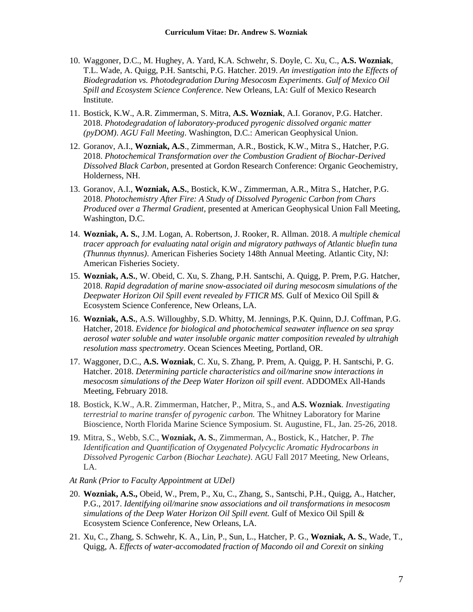- 10. Waggoner, D.C., M. Hughey, A. Yard, K.A. Schwehr, S. Doyle, C. Xu, C., **A.S. Wozniak**, T.L. Wade, A. Quigg, P.H. Santschi, P.G. Hatcher. 2019. *An investigation into the Effects of Biodegradation vs. Photodegradation During Mesocosm Experiments*. *Gulf of Mexico Oil Spill and Ecosystem Science Conference*. New Orleans, LA: Gulf of Mexico Research Institute.
- 11. Bostick, K.W., A.R. Zimmerman, S. Mitra, **A.S. Wozniak**, A.I. Goranov, P.G. Hatcher. 2018. *Photodegradation of laboratory-produced pyrogenic dissolved organic matter (pyDOM)*. *AGU Fall Meeting*. Washington, D.C.: American Geophysical Union.
- 12. Goranov, A.I., **Wozniak, A.S**., Zimmerman, A.R., Bostick, K.W., Mitra S., Hatcher, P.G. 2018. *Photochemical Transformation over the Combustion Gradient of Biochar-Derived Dissolved Black Carbon*, presented at Gordon Research Conference: Organic Geochemistry, Holderness, NH.
- 13. Goranov, A.I., **Wozniak, A.S.**, Bostick, K.W., Zimmerman, A.R., Mitra S., Hatcher, P.G. 2018. *Photochemistry After Fire: A Study of Dissolved Pyrogenic Carbon from Chars Produced over a Thermal Gradient*, presented at American Geophysical Union Fall Meeting, Washington, D.C.
- 14. **Wozniak, A. S.**, J.M. Logan, A. Robertson, J. Rooker, R. Allman. 2018. *A multiple chemical tracer approach for evaluating natal origin and migratory pathways of Atlantic bluefin tuna (Thunnus thynnus)*. American Fisheries Society 148th Annual Meeting. Atlantic City, NJ: American Fisheries Society.
- 15. **Wozniak, A.S.**, W. Obeid, C. Xu, S. Zhang, P.H. Santschi, A. Quigg, P. Prem, P.G. Hatcher, 2018. *Rapid degradation of marine snow-associated oil during mesocosm simulations of the Deepwater Horizon Oil Spill event revealed by FTICR MS.* Gulf of Mexico Oil Spill & Ecosystem Science Conference, New Orleans, LA.
- 16. **Wozniak, A.S.**, A.S. Willoughby, S.D. Whitty, M. Jennings, P.K. Quinn, D.J. Coffman, P.G. Hatcher, 2018. *Evidence for biological and photochemical seawater influence on sea spray aerosol water soluble and water insoluble organic matter composition revealed by ultrahigh resolution mass spectrometry*. Ocean Sciences Meeting, Portland, OR.
- 17. Waggoner, D.C., **A.S. Wozniak**, C. Xu, S. Zhang, P. Prem, A. Quigg, P. H. Santschi, P. G. Hatcher. 2018. *Determining particle characteristics and oil/marine snow interactions in mesocosm simulations of the Deep Water Horizon oil spill event*. ADDOMEx All-Hands Meeting, February 2018.
- 18. Bostick, K.W., A.R. Zimmerman, Hatcher, P., Mitra, S., and **A.S. Wozniak**. *Investigating terrestrial to marine transfer of pyrogenic carbon.* The Whitney Laboratory for Marine Bioscience, North Florida Marine Science Symposium. St. Augustine, FL, Jan. 25-26, 2018.
- 19. Mitra, S., Webb, S.C., **Wozniak, A. S.**, Zimmerman, A., Bostick, K., Hatcher, P. *The Identification and Quantification of Oxygenated Polycyclic Aromatic Hydrocarbons in Dissolved Pyrogenic Carbon (Biochar Leachate)*. AGU Fall 2017 Meeting, New Orleans, LA.
- *At Rank (Prior to Faculty Appointment at UDel)*
- 20. **Wozniak, A.S.,** Obeid, W., Prem, P., Xu, C., Zhang, S., Santschi, P.H., Quigg, A., Hatcher, P.G., 2017. *Identifying oil/marine snow associations and oil transformations in mesocosm simulations of the Deep Water Horizon Oil Spill event.* Gulf of Mexico Oil Spill & Ecosystem Science Conference, New Orleans, LA.
- 21. Xu, C., Zhang, S. Schwehr, K. A., Lin, P., Sun, L., Hatcher, P. G., **Wozniak, A. S.**, Wade, T., Quigg, A. *Effects of water-accomodated fraction of Macondo oil and Corexit on sinking*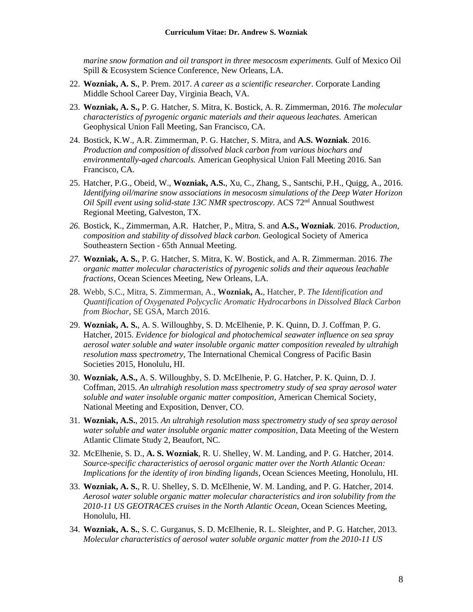*marine snow formation and oil transport in three mesocosm experiments.* Gulf of Mexico Oil Spill & Ecosystem Science Conference, New Orleans, LA.

- 22. **Wozniak, A. S.**, P. Prem. 2017. *A career as a scientific researcher.* Corporate Landing Middle School Career Day, Virginia Beach, VA.
- 23. **Wozniak, A. S.,** P. G. Hatcher, S. Mitra, K. Bostick, A. R. Zimmerman, 2016. *The molecular characteristics of pyrogenic organic materials and their aqueous leachates.* American Geophysical Union Fall Meeting, San Francisco, CA.
- 24. Bostick, K.W., A.R. Zimmerman, P. G. Hatcher, S. Mitra, and **A.S. Wozniak**. 2016. *Production and composition of dissolved black carbon from various biochars and environmentally-aged charcoals.* American Geophysical Union Fall Meeting 2016. San Francisco, CA.
- 25. Hatcher, P.G., Obeid, W., **Wozniak, A.S.**, Xu, C., Zhang, S., Santschi, P.H., Quigg, A., 2016. *Identifying oil/marine snow associations in mesocosm simulations of the Deep Water Horizon Oil Spill event using solid-state 13C NMR spectroscopy*. ACS 72<sup>nd</sup> Annual Southwest Regional Meeting, Galveston, TX.
- *26.* Bostick, K., Zimmerman, A.R. Hatcher, P., Mitra, S. and **A.S., Wozniak**. 2016. *Production, composition and stability of dissolved black carbon.* Geological Society of America Southeastern Section - 65th Annual Meeting.
- *27.* **Wozniak, A. S.**, P. G. Hatcher, S. Mitra, K. W. Bostick, and A. R. Zimmerman. 2016. *The organic matter molecular characteristics of pyrogenic solids and their aqueous leachable fractions*, Ocean Sciences Meeting, New Orleans, LA.
- 28. Webb, S.C., Mitra, S. Zimmerman, A., **Wozniak, A.**, Hatcher, P. *The Identification and Quantification of Oxygenated Polycyclic Aromatic Hydrocarbons in Dissolved Black Carbon from Biochar*, SE GSA, March 2016.
- 29. **Wozniak, A. S.**, A. S. Willoughby, S. D. McElhenie, P. K. Quinn, D. J. Coffman, P. G. Hatcher, 2015. *Evidence for biological and photochemical seawater influence on sea spray aerosol water soluble and water insoluble organic matter composition revealed by ultrahigh resolution mass spectrometry,* The International Chemical Congress of Pacific Basin Societies 2015, Honolulu, HI.
- 30. **Wozniak, A.S.,** A. S. Willoughby, S. D. McElhenie, P. G. Hatcher, P. K. Quinn, D. J. Coffman, 2015. *An ultrahigh resolution mass spectrometry study of sea spray aerosol water soluble and water insoluble organic matter composition*, American Chemical Society, National Meeting and Exposition, Denver, CO.
- 31. **Wozniak, A.S.**, 2015. *An ultrahigh resolution mass spectrometry study of sea spray aerosol water soluble and water insoluble organic matter composition*, Data Meeting of the Western Atlantic Climate Study 2, Beaufort, NC.
- 32. McElhenie, S. D., **A. S. Wozniak**, R. U. Shelley, W. M. Landing, and P. G. Hatcher, 2014. *Source-specific characteristics of aerosol organic matter over the North Atlantic Ocean: Implications for the identity of iron binding ligands*, Ocean Sciences Meeting, Honolulu, HI.
- 33. **Wozniak, A. S.**, R. U. Shelley, S. D. McElhenie, W. M. Landing, and P. G. Hatcher, 2014. *Aerosol water soluble organic matter molecular characteristics and iron solubility from the 2010-11 US GEOTRACES cruises in the North Atlantic Ocean*, Ocean Sciences Meeting, Honolulu, HI.
- 34. **Wozniak, A. S.**, S. C. Gurganus, S. D. McElhenie, R. L. Sleighter, and P. G. Hatcher, 2013. *Molecular characteristics of aerosol water soluble organic matter from the 2010-11 US*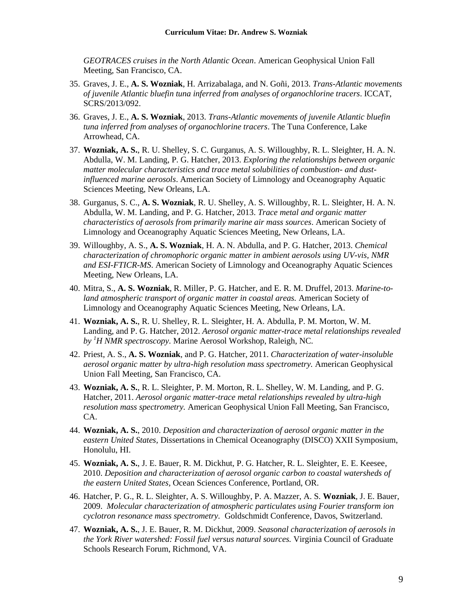*GEOTRACES cruises in the North Atlantic Ocean*. American Geophysical Union Fall Meeting, San Francisco, CA.

- 35. Graves, J. E., **A. S. Wozniak**, H. Arrizabalaga, and N. Goñi, 2013. *Trans-Atlantic movements of juvenile Atlantic bluefin tuna inferred from analyses of organochlorine tracers*. ICCAT, SCRS/2013/092.
- 36. Graves, J. E., **A. S. Wozniak**, 2013. *Trans-Atlantic movements of juvenile Atlantic bluefin tuna inferred from analyses of organochlorine tracers*. The Tuna Conference, Lake Arrowhead, CA.
- 37. **Wozniak, A. S.**, R. U. Shelley, S. C. Gurganus, A. S. Willoughby, R. L. Sleighter, H. A. N. Abdulla, W. M. Landing, P. G. Hatcher, 2013. *Exploring the relationships between organic matter molecular characteristics and trace metal solubilities of combustion- and dustinfluenced marine aerosols*. American Society of Limnology and Oceanography Aquatic Sciences Meeting, New Orleans, LA.
- 38. Gurganus, S. C., **A. S. Wozniak**, R. U. Shelley, A. S. Willoughby, R. L. Sleighter, H. A. N. Abdulla, W. M. Landing, and P. G. Hatcher, 2013. *Trace metal and organic matter characteristics of aerosols from primarily marine air mass sources*. American Society of Limnology and Oceanography Aquatic Sciences Meeting, New Orleans, LA.
- 39. Willoughby, A. S., **A. S. Wozniak**, H. A. N. Abdulla, and P. G. Hatcher, 2013. *Chemical characterization of chromophoric organic matter in ambient aerosols using UV-vis, NMR and ESI-FTICR-MS*. American Society of Limnology and Oceanography Aquatic Sciences Meeting, New Orleans, LA.
- 40. Mitra, S., **A. S. Wozniak**, R. Miller, P. G. Hatcher, and E. R. M. Druffel, 2013. *Marine-toland atmospheric transport of organic matter in coastal areas.* American Society of Limnology and Oceanography Aquatic Sciences Meeting, New Orleans, LA.
- 41. **Wozniak, A. S.**, R. U. Shelley, R. L. Sleighter, H. A. Abdulla, P. M. Morton, W. M. Landing, and P. G. Hatcher, 2012. *Aerosol organic matter-trace metal relationships revealed by <sup>1</sup>H NMR spectroscopy.* Marine Aerosol Workshop, Raleigh, NC.
- 42. Priest, A. S., **A. S. Wozniak**, and P. G. Hatcher, 2011. *Characterization of water-insoluble aerosol organic matter by ultra-high resolution mass spectrometry.* American Geophysical Union Fall Meeting, San Francisco, CA.
- 43. **Wozniak, A. S.**, R. L. Sleighter, P. M. Morton, R. L. Shelley, W. M. Landing, and P. G. Hatcher, 2011. *Aerosol organic matter-trace metal relationships revealed by ultra-high resolution mass spectrometry.* American Geophysical Union Fall Meeting, San Francisco, CA.
- 44. **Wozniak, A. S.**, 2010. *Deposition and characterization of aerosol organic matter in the eastern United States,* Dissertations in Chemical Oceanography (DISCO) XXII Symposium, Honolulu, HI.
- 45. **Wozniak, A. S.**, J. E. Bauer, R. M. Dickhut, P. G. Hatcher, R. L. Sleighter, E. E. Keesee, 2010. *Deposition and characterization of aerosol organic carbon to coastal watersheds of the eastern United States,* Ocean Sciences Conference, Portland, OR.
- 46. Hatcher, P. G., R. L. Sleighter, A. S. Willoughby, P. A. Mazzer, A. S. **Wozniak**, J. E. Bauer, 2009. *Molecular characterization of atmospheric particulates using Fourier transform ion cyclotron resonance mass spectrometry.* Goldschmidt Conference, Davos, Switzerland.
- 47. **Wozniak, A. S.**, J. E. Bauer, R. M. Dickhut, 2009. *Seasonal characterization of aerosols in the York River watershed: Fossil fuel versus natural sources.* Virginia Council of Graduate Schools Research Forum, Richmond, VA.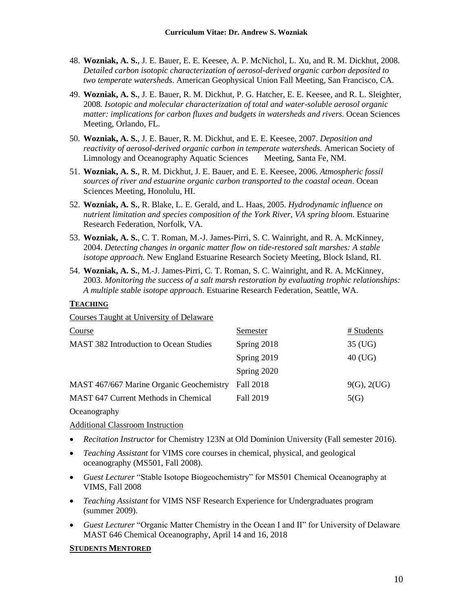- 48. **Wozniak, A. S.**, J. E. Bauer, E. E. Keesee, A. P. McNichol, L. Xu, and R. M. Dickhut, 2008. *Detailed carbon isotopic characterization of aerosol-derived organic carbon deposited to two temperate watersheds*. American Geophysical Union Fall Meeting, San Francisco, CA.
- 49. **Wozniak, A. S.**, J. E. Bauer, R. M. Dickhut, P. G. Hatcher, E. E. Keesee, and R. L. Sleighter*,* 2008*. Isotopic and molecular characterization of total and water-soluble aerosol organic matter: implications for carbon fluxes and budgets in watersheds and rivers.* Ocean Sciences Meeting, Orlando, FL.
- 50. **Wozniak, A. S.**, J. E. Bauer, R. M. Dickhut, and E. E. Keesee, 2007. *Deposition and reactivity of aerosol-derived organic carbon in temperate watersheds.* American Society of Limnology and Oceanography Aquatic Sciences Meeting, Santa Fe, NM.
- 51. **Wozniak, A. S.**, R. M. Dickhut, J. E. Bauer, and E. E. Keesee, 2006. *Atmospheric fossil sources of river and estuarine organic carbon transported to the coastal ocean*. Ocean Sciences Meeting, Honolulu, HI.
- 52. **Wozniak, A. S.**, R. Blake, L. E. Gerald, and L. Haas, 2005. *Hydrodynamic influence on nutrient limitation and species composition of the York River, VA spring bloom*. Estuarine Research Federation, Norfolk, VA.
- 53. **Wozniak, A. S.**, C. T. Roman, M.-J. James-Pirri, S. C. Wainright, and R. A. McKinney, 2004. *Detecting changes in organic matter flow on tide-restored salt marshes: A stable isotope approach.* New England Estuarine Research Society Meeting, Block Island, RI.
- 54. **Wozniak, A. S.**, M.-J. James-Pirri, C. T. Roman, S. C. Wainright, and R. A. McKinney, 2003. *Monitoring the success of a salt marsh restoration by evaluating trophic relationships: A multiple stable isotope approach.* Estuarine Research Federation, Seattle, WA.

### **TEACHING**

Courses Taught at University of Delaware

| Course                                        | Semester    | # Students  |
|-----------------------------------------------|-------------|-------------|
| <b>MAST 382 Introduction to Ocean Studies</b> | Spring 2018 | 35 (UG)     |
|                                               | Spring 2019 | $40$ (UG)   |
|                                               | Spring 2020 |             |
| MAST 467/667 Marine Organic Geochemistry      | Fall 2018   | 9(G), 2(UG) |
| MAST 647 Current Methods in Chemical          | Fall 2019   | 5(G)        |
| $\sim$ 1                                      |             |             |

**Oceanography** 

Additional Classroom Instruction

- *Recitation Instructor* for Chemistry 123N at Old Dominion University (Fall semester 2016).
- *Teaching Assistant* for VIMS core courses in chemical, physical, and geological oceanography (MS501, Fall 2008).
- *Guest Lecturer* "Stable Isotope Biogeochemistry" for MS501 Chemical Oceanography at VIMS, Fall 2008
- *Teaching Assistant* for VIMS NSF Research Experience for Undergraduates program (summer 2009).
- *Guest Lecturer* "Organic Matter Chemistry in the Ocean I and II" for University of Delaware MAST 646 Chemical Oceanography, April 14 and 16, 2018

### **STUDENTS MENTORED**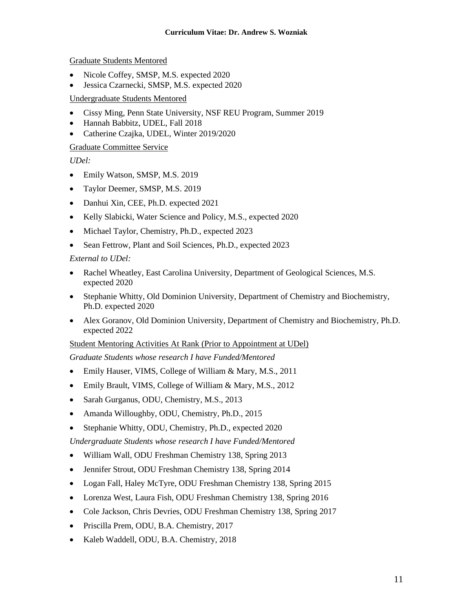Graduate Students Mentored

- Nicole Coffey, SMSP, M.S. expected 2020
- Jessica Czarnecki, SMSP, M.S. expected 2020

# Undergraduate Students Mentored

- Cissy Ming, Penn State University, NSF REU Program, Summer 2019
- Hannah Babbitz, UDEL, Fall 2018
- Catherine Czajka, UDEL, Winter 2019/2020

## Graduate Committee Service

*UDel:*

- Emily Watson, SMSP, M.S. 2019
- Taylor Deemer, SMSP, M.S. 2019
- Danhui Xin, CEE, Ph.D. expected 2021
- Kelly Slabicki, Water Science and Policy, M.S., expected 2020
- Michael Taylor, Chemistry, Ph.D., expected 2023
- Sean Fettrow, Plant and Soil Sciences, Ph.D., expected 2023

# *External to UDel:*

- Rachel Wheatley, East Carolina University, Department of Geological Sciences, M.S. expected 2020
- Stephanie Whitty, Old Dominion University, Department of Chemistry and Biochemistry, Ph.D. expected 2020
- Alex Goranov, Old Dominion University, Department of Chemistry and Biochemistry, Ph.D. expected 2022

Student Mentoring Activities At Rank (Prior to Appointment at UDel)

*Graduate Students whose research I have Funded/Mentored*

- Emily Hauser, VIMS, College of William & Mary, M.S., 2011
- Emily Brault, VIMS, College of William & Mary, M.S., 2012
- Sarah Gurganus, ODU, Chemistry, M.S., 2013
- Amanda Willoughby, ODU, Chemistry, Ph.D., 2015
- Stephanie Whitty, ODU, Chemistry, Ph.D., expected 2020

*Undergraduate Students whose research I have Funded/Mentored*

- William Wall, ODU Freshman Chemistry 138, Spring 2013
- Jennifer Strout, ODU Freshman Chemistry 138, Spring 2014
- Logan Fall, Haley McTyre, ODU Freshman Chemistry 138, Spring 2015
- Lorenza West, Laura Fish, ODU Freshman Chemistry 138, Spring 2016
- Cole Jackson, Chris Devries, ODU Freshman Chemistry 138, Spring 2017
- Priscilla Prem, ODU, B.A. Chemistry, 2017
- Kaleb Waddell, ODU, B.A. Chemistry, 2018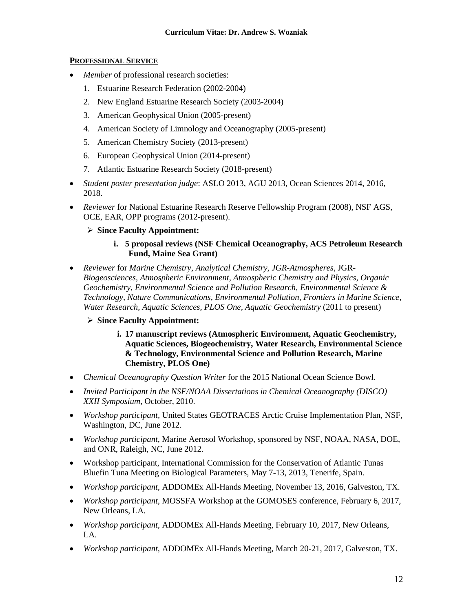### **PROFESSIONAL SERVICE**

- *Member* of professional research societies:
	- 1. Estuarine Research Federation (2002-2004)
	- 2. New England Estuarine Research Society (2003-2004)
	- 3. American Geophysical Union (2005-present)
	- 4. American Society of Limnology and Oceanography (2005-present)
	- 5. American Chemistry Society (2013-present)
	- 6. European Geophysical Union (2014-present)
	- 7. Atlantic Estuarine Research Society (2018-present)
- *Student poster presentation judge*: ASLO 2013, AGU 2013, Ocean Sciences 2014, 2016, 2018.
- *Reviewer* for National Estuarine Research Reserve Fellowship Program (2008), NSF AGS, OCE, EAR, OPP programs (2012-present).
	- ➢ **Since Faculty Appointment:**

### **i. 5 proposal reviews (NSF Chemical Oceanography, ACS Petroleum Research Fund, Maine Sea Grant)**

• *Reviewer* for *Marine Chemistry*, *Analytical Chemistry, JGR-Atmospheres*, JGR-*Biogeosciences*, *Atmospheric Environment*, *Atmospheric Chemistry and Physics*, *Organic Geochemistry, Environmental Science and Pollution Research, Environmental Science & Technology, Nature Communications, Environmental Pollution, Frontiers in Marine Science, Water Research, Aquatic Sciences, PLOS One, Aquatic Geochemistry* (2011 to present)

## ➢ **Since Faculty Appointment:**

- **i. 17 manuscript reviews (Atmospheric Environment, Aquatic Geochemistry, Aquatic Sciences, Biogeochemistry, Water Research, Environmental Science & Technology, Environmental Science and Pollution Research, Marine Chemistry, PLOS One)**
- *Chemical Oceanography Question Writer* for the 2015 National Ocean Science Bowl.
- *Invited Participant in the NSF/NOAA Dissertations in Chemical Oceanography (DISCO) XXII Symposium,* October, 2010.
- *Workshop participant,* United States GEOTRACES Arctic Cruise Implementation Plan, NSF, Washington, DC, June 2012.
- *Workshop participant,* Marine Aerosol Workshop, sponsored by NSF, NOAA, NASA, DOE, and ONR, Raleigh, NC, June 2012.
- Workshop participant, International Commission for the Conservation of Atlantic Tunas Bluefin Tuna Meeting on Biological Parameters, May 7-13, 2013, Tenerife, Spain.
- *Workshop participant,* ADDOMEx All-Hands Meeting, November 13, 2016, Galveston, TX.
- *Workshop participant,* MOSSFA Workshop at the GOMOSES conference, February 6, 2017, New Orleans, LA.
- *Workshop participant,* ADDOMEx All-Hands Meeting, February 10, 2017, New Orleans, LA.
- *Workshop participant,* ADDOMEx All-Hands Meeting, March 20-21, 2017, Galveston, TX.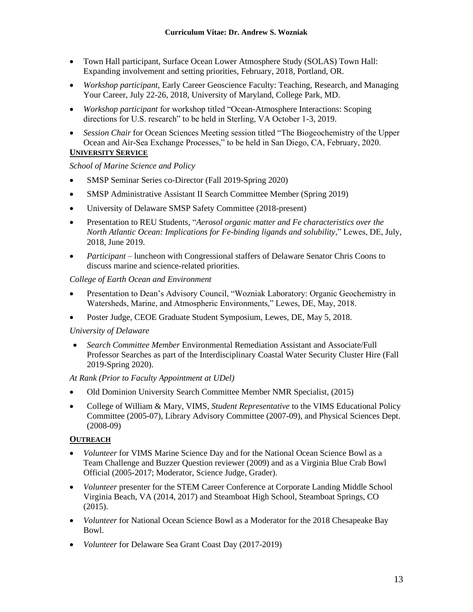- Town Hall participant, Surface Ocean Lower Atmosphere Study (SOLAS) Town Hall: Expanding involvement and setting priorities, February, 2018, Portland, OR.
- *Workshop participant,* Early Career Geoscience Faculty: Teaching, Research, and Managing Your Career, July 22-26, 2018, University of Maryland, College Park, MD.
- *Workshop participant* for workshop titled "Ocean-Atmosphere Interactions: Scoping directions for U.S. research" to be held in Sterling, VA October 1-3, 2019.
- *Session Chair* for Ocean Sciences Meeting session titled "The Biogeochemistry of the Upper Ocean and Air-Sea Exchange Processes," to be held in San Diego, CA, February, 2020.

# **UNIVERSITY SERVICE**

## *School of Marine Science and Policy*

- SMSP Seminar Series co-Director (Fall 2019-Spring 2020)
- SMSP Administrative Assistant II Search Committee Member (Spring 2019)
- University of Delaware SMSP Safety Committee (2018-present)
- Presentation to REU Students, "*Aerosol organic matter and Fe characteristics over the North Atlantic Ocean: Implications for Fe-binding ligands and solubility*," Lewes, DE, July, 2018, June 2019.
- *Participant* luncheon with Congressional staffers of Delaware Senator Chris Coons to discuss marine and science-related priorities.

## *College of Earth Ocean and Environment*

- Presentation to Dean's Advisory Council, "Wozniak Laboratory: Organic Geochemistry in Watersheds, Marine, and Atmospheric Environments," Lewes, DE, May, 2018.
- Poster Judge, CEOE Graduate Student Symposium, Lewes, DE, May 5, 2018.

## *University of Delaware*

• *Search Committee Member* Environmental Remediation Assistant and Associate/Full Professor Searches as part of the Interdisciplinary Coastal Water Security Cluster Hire (Fall 2019-Spring 2020).

## *At Rank (Prior to Faculty Appointment at UDel)*

- Old Dominion University Search Committee Member NMR Specialist, (2015)
- College of William & Mary, VIMS, *Student Representative* to the VIMS Educational Policy Committee (2005-07), Library Advisory Committee (2007-09), and Physical Sciences Dept. (2008-09)

## **OUTREACH**

- *Volunteer* for VIMS Marine Science Day and for the National Ocean Science Bowl as a Team Challenge and Buzzer Question reviewer (2009) and as a Virginia Blue Crab Bowl Official (2005-2017; Moderator, Science Judge, Grader).
- *Volunteer* presenter for the STEM Career Conference at Corporate Landing Middle School Virginia Beach, VA (2014, 2017) and Steamboat High School, Steamboat Springs, CO (2015).
- *Volunteer* for National Ocean Science Bowl as a Moderator for the 2018 Chesapeake Bay Bowl.
- *Volunteer* for Delaware Sea Grant Coast Day (2017-2019)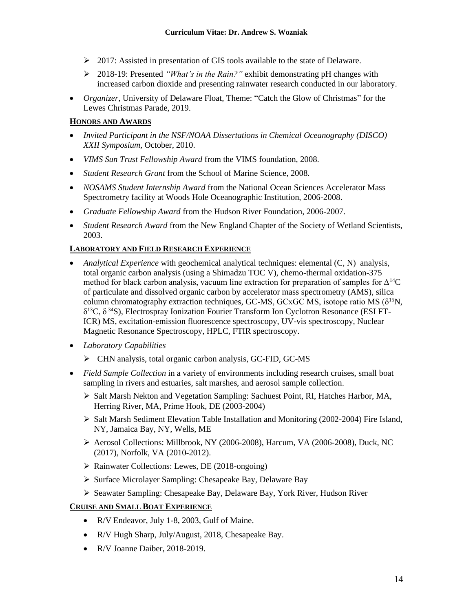- $\geq 2017$ : Assisted in presentation of GIS tools available to the state of Delaware.
- ➢ 2018-19: Presented *"What's in the Rain?"* exhibit demonstrating pH changes with increased carbon dioxide and presenting rainwater research conducted in our laboratory.
- *Organizer*, University of Delaware Float, Theme: "Catch the Glow of Christmas" for the Lewes Christmas Parade, 2019.

# **HONORS AND AWARDS**

- *Invited Participant in the NSF/NOAA Dissertations in Chemical Oceanography (DISCO) XXII Symposium,* October, 2010.
- *VIMS Sun Trust Fellowship Award* from the VIMS foundation, 2008.
- *Student Research Grant* from the School of Marine Science, 2008.
- *NOSAMS Student Internship Award* from the National Ocean Sciences Accelerator Mass Spectrometry facility at Woods Hole Oceanographic Institution, 2006-2008.
- *Graduate Fellowship Award* from the Hudson River Foundation, 2006-2007.
- *Student Research Award* from the New England Chapter of the Society of Wetland Scientists, 2003.

# **LABORATORY AND FIELD RESEARCH EXPERIENCE**

- *Analytical Experience* with geochemical analytical techniques: elemental (C, N) analysis, total organic carbon analysis (using a Shimadzu TOC V), chemo-thermal oxidation-375 method for black carbon analysis, vacuum line extraction for preparation of samples for  $\Delta^{14}C$ of particulate and dissolved organic carbon by accelerator mass spectrometry (AMS), silica column chromatography extraction techniques, GC-MS, GCxGC MS, isotope ratio MS ( $\delta^{15}N$ , δ <sup>13</sup>C, δ <sup>34</sup>S), Electrospray Ionization Fourier Transform Ion Cyclotron Resonance (ESI FT-ICR) MS, excitation-emission fluorescence spectroscopy, UV-vis spectroscopy, Nuclear Magnetic Resonance Spectroscopy, HPLC, FTIR spectroscopy.
- *Laboratory Capabilities*
	- ➢ CHN analysis, total organic carbon analysis, GC-FID, GC-MS
- *Field Sample Collection* in a variety of environments including research cruises, small boat sampling in rivers and estuaries, salt marshes, and aerosol sample collection.
	- ➢ Salt Marsh Nekton and Vegetation Sampling: Sachuest Point, RI, Hatches Harbor, MA, Herring River, MA, Prime Hook, DE (2003-2004)
	- ➢ Salt Marsh Sediment Elevation Table Installation and Monitoring (2002-2004) Fire Island, NY, Jamaica Bay, NY, Wells, ME
	- ➢ Aerosol Collections: Millbrook, NY (2006-2008), Harcum, VA (2006-2008), Duck, NC (2017), Norfolk, VA (2010-2012).
	- ➢ Rainwater Collections: Lewes, DE (2018-ongoing)
	- ➢ Surface Microlayer Sampling: Chesapeake Bay, Delaware Bay
	- ➢ Seawater Sampling: Chesapeake Bay, Delaware Bay, York River, Hudson River

## **CRUISE AND SMALL BOAT EXPERIENCE**

- R/V Endeavor, July 1-8, 2003, Gulf of Maine.
- R/V Hugh Sharp, July/August, 2018, Chesapeake Bay.
- R/V Joanne Daiber, 2018-2019.